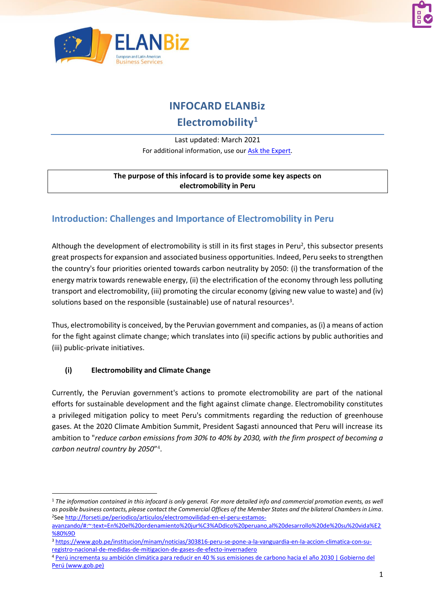



# **INFOCARD ELANBiz**

# **Electromobility<sup>1</sup>**

#### Last updated: March 2021

For additional information, use our [Ask the Expert.](http://bit.ly/2fQNCnJ)

#### **The purpose of this infocard is to provide some key aspects on electromobility in Peru**

### **Introduction: Challenges and Importance of Electromobility in Peru**

Although the development of electromobility is still in its first stages in Peru<sup>2</sup>, this subsector presents great prospects for expansion and associated business opportunities. Indeed, Peru seeks to strengthen the country's four priorities oriented towards carbon neutrality by 2050: (i) the transformation of the energy matrix towards renewable energy, (ii) the electrification of the economy through less polluting transport and electromobility, (iii) promoting the circular economy (giving new value to waste) and (iv) solutions based on the responsible (sustainable) use of natural resources<sup>3</sup>.

Thus, electromobility is conceived, by the Peruvian government and companies, as (i) a means of action for the fight against climate change; which translates into (ii) specific actions by public authorities and (iii) public-private initiatives.

#### **(i) Electromobility and Climate Change**

Currently, the Peruvian government's actions to promote electromobility are part of the national efforts for sustainable development and the fight against climate change. Electromobility constitutes a privileged mitigation policy to meet Peru's commitments regarding the reduction of greenhouse gases. At the 2020 Climate Ambition Summit, President Sagasti announced that Peru will increase its ambition to "*reduce carbon emissions from 30% to 40% by 2030, with the firm prospect of becoming a carbon neutral country by 2050*" 4 .

<sup>1</sup> *The information contained in this infocard is only general. For more detailed info and commercial promotion events, as well as posible business contacts, please contact the Commercial Offices of the Member States and the bilateral Chambers in Lima.*  <sup>2</sup>See [http://forseti.pe/periodico/articulos/electromovilidad-en-el-peru-estamos-](http://forseti.pe/periodico/articulos/electromovilidad-en-el-peru-estamos-avanzando/#:~:text=En%20el%20ordenamiento%20jur%C3%ADdico%20peruano,al%20desarrollo%20de%20su%20vida%E2%80%9D)

[avanzando/#:~:text=En%20el%20ordenamiento%20jur%C3%ADdico%20peruano,al%20desarrollo%20de%20su%20vida%E2](http://forseti.pe/periodico/articulos/electromovilidad-en-el-peru-estamos-avanzando/#:~:text=En%20el%20ordenamiento%20jur%C3%ADdico%20peruano,al%20desarrollo%20de%20su%20vida%E2%80%9D) [%80%9D](http://forseti.pe/periodico/articulos/electromovilidad-en-el-peru-estamos-avanzando/#:~:text=En%20el%20ordenamiento%20jur%C3%ADdico%20peruano,al%20desarrollo%20de%20su%20vida%E2%80%9D)

<sup>3</sup> [https://www.gob.pe/institucion/minam/noticias/303816-peru-se-pone-a-la-vanguardia-en-la-accion-climatica-con-su](https://www.gob.pe/institucion/minam/noticias/303816-peru-se-pone-a-la-vanguardia-en-la-accion-climatica-con-su-registro-nacional-de-medidas-de-mitigacion-de-gases-de-efecto-invernadero)[registro-nacional-de-medidas-de-mitigacion-de-gases-de-efecto-invernadero](https://www.gob.pe/institucion/minam/noticias/303816-peru-se-pone-a-la-vanguardia-en-la-accion-climatica-con-su-registro-nacional-de-medidas-de-mitigacion-de-gases-de-efecto-invernadero)

<sup>4</sup> [Perú incrementa su ambición climática para reducir en 40 % sus emisiones de](https://www.gob.pe/institucion/minam/noticias/320326-peru-incrementa-su-ambicion-climatica-para-reducir-en-40-sus-emisiones-de-carbono-hacia-el-ano-2030) carbono hacia el año 2030 | Gobierno del [Perú \(www.gob.pe\)](https://www.gob.pe/institucion/minam/noticias/320326-peru-incrementa-su-ambicion-climatica-para-reducir-en-40-sus-emisiones-de-carbono-hacia-el-ano-2030)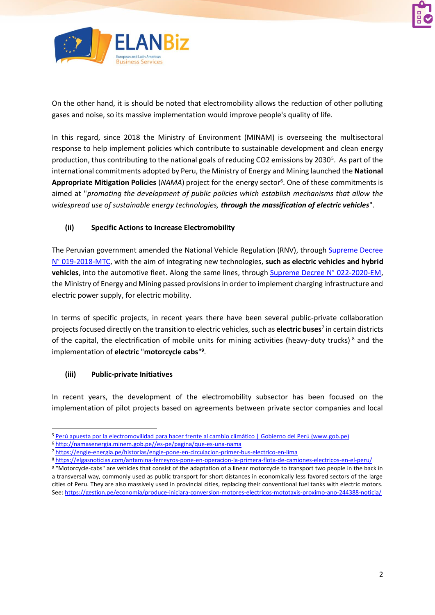



On the other hand, it is should be noted that electromobility allows the reduction of other polluting gases and noise, so its massive implementation would improve people's quality of life.

In this regard, since 2018 the Ministry of Environment (MINAM) is overseeing the multisectoral response to help implement policies which contribute to sustainable development and clean energy production, thus contributing to the national goals of reducing CO2 emissions by 2030<sup>5</sup>. As part of the international commitments adopted by Peru, the Ministry of Energy and Mining launched the **National**  Appropriate Mitigation Policies (NAMA) project for the energy sector<sup>6</sup>. One of these commitments is aimed at "*promoting the development of public policies which establish mechanisms that allow the widespread use of sustainable energy technologies, through the massification of electric vehicles*".

#### **(ii) Specific Actions to Increase Electromobility**

The Peruvian government amended the National Vehicle Regulation (RNV), through Supreme Decree [N° 019-2018-MTC,](https://www.gob.pe/institucion/mtc/normas-legales/308446-019-2018-mtc) with the aim of integrating new technologies, **such as electric vehicles and hybrid vehicles**, into the automotive fleet. Along the same lines, through [Supreme Decree N°](https://busquedas.elperuano.pe/normaslegales/decreto-supremo-que-aprueba-disposiciones-sobre-la-infraestr-decreto-supremo-n-022-2020-em-1879172-2/) 022-2020-EM, the Ministry of Energy and Mining passed provisions in order to implement charging infrastructure and electric power supply, for electric mobility.

In terms of specific projects, in recent years there have been several public-private collaboration projects focused directly on the transition to electric vehicles, such as **electric buses**<sup>7</sup> in certain districts of the capital, the electrification of mobile units for mining activities (heavy-duty trucks)  $8$  and the implementation of **electric** "**motorcycle cabs**" **9** .

#### **(iii) Public-private Initiatives**

In recent years, the development of the electromobility subsector has been focused on the implementation of pilot projects based on agreements between private sector companies and local

<sup>5</sup> [Perú apuesta por la electromovilidad para hacer frente al cambio climático | Gobierno del Perú \(www.gob.pe\)](https://www.gob.pe/institucion/minam/noticias/19402-peru-apuesta-por-la-electromovilidad-para-hacer-frente-al-cambio-climatico)

<sup>6</sup> [http://namasenergia.minem.gob.pe//es-pe/pagina/que-es-una-nama](http://namasenergia.minem.gob.pe/es-pe/pagina/que-es-una-nama)

<sup>7</sup> <https://engie-energia.pe/historias/engie-pone-en-circulacion-primer-bus-electrico-en-lima>

<sup>8</sup> <https://elgasnoticias.com/antamina-ferreyros-pone-en-operacion-la-primera-flota-de-camiones-electricos-en-el-peru/>

<sup>9 &</sup>quot;Motorcycle-cabs" are vehicles that consist of the adaptation of a linear motorcycle to transport two people in the back in a transversal way, commonly used as public transport for short distances in economically less favored sectors of the large cities of Peru. They are also massively used in provincial cities, replacing their conventional fuel tanks with electric motors. See: <https://gestion.pe/economia/produce-iniciara-conversion-motores-electricos-mototaxis-proximo-ano-244388-noticia/>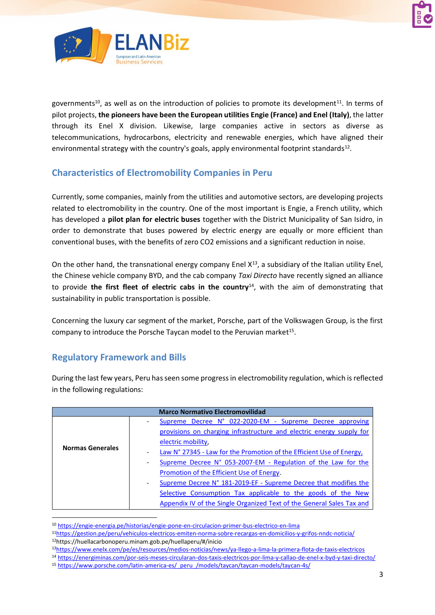



governments<sup>10</sup>, as well as on the introduction of policies to promote its development<sup>11</sup>. In terms of pilot projects, **the pioneers have been the European utilities Engie (France) and Enel (Italy)**, the latter through its Enel X division. Likewise, large companies active in sectors as diverse as telecommunications, hydrocarbons, electricity and renewable energies, which have aligned their environmental strategy with the country's goals, apply environmental footprint standards<sup>12</sup>.

### **Characteristics of Electromobility Companies in Peru**

Currently, some companies, mainly from the utilities and automotive sectors, are developing projects related to electromobility in the country. One of the most important is Engie, a French utility, which has developed a **pilot plan for electric buses** together with the District Municipality of San Isidro, in order to demonstrate that buses powered by electric energy are equally or more efficient than conventional buses, with the benefits of zero CO2 emissions and a significant reduction in noise.

On the other hand, the transnational energy company Enel  $X^{13}$ , a subsidiary of the Italian utility Enel, the Chinese vehicle company BYD, and the cab company *Taxi Directo* have recently signed an alliance to provide **the first fleet of electric cabs in the country**<sup>14</sup>, with the aim of demonstrating that sustainability in public transportation is possible.

Concerning the luxury car segment of the market, Porsche, part of the Volkswagen Group, is the first company to introduce the Porsche Taycan model to the Peruvian market<sup>15</sup>.

### **Regulatory Framework and Bills**

During the last few years, Peru has seen some progress in electromobility regulation, which is reflected in the following regulations:

|                         | <b>Marco Normativo Electromovilidad</b>                                                       |
|-------------------------|-----------------------------------------------------------------------------------------------|
| <b>Normas Generales</b> | Supreme Decree N° 022-2020-EM - Supreme Decree approving                                      |
|                         | provisions on charging infrastructure and electric energy supply for                          |
|                         | electric mobility.                                                                            |
|                         | Law N° 27345 - Law for the Promotion of the Efficient Use of Energy,                          |
|                         | Supreme Decree N° 053-2007-EM - Regulation of the Law for the<br>$\qquad \qquad \blacksquare$ |
|                         | Promotion of the Efficient Use of Energy.                                                     |
|                         | Supreme Decree N° 181-2019-EF - Supreme Decree that modifies the<br>$\overline{\phantom{a}}$  |
|                         | Selective Consumption Tax applicable to the goods of the New                                  |
|                         | Appendix IV of the Single Organized Text of the General Sales Tax and                         |

<sup>10</sup> <https://engie-energia.pe/historias/engie-pone-en-circulacion-primer-bus-electrico-en-lima>

<sup>13</sup><https://www.enelx.com/pe/es/resources/medios-noticias/news/ya-llego-a-lima-la-primera-flota-de-taxis-electricos>

<sup>11</sup><https://gestion.pe/peru/vehiculos-electricos-emiten-norma-sobre-recargas-en-domicilios-y-grifos-nndc-noticia/> <sup>12</sup>https://huellacarbonoperu.minam.gob.pe/huellaperu/#/inicio

<sup>14</sup> <https://energiminas.com/por-seis-meses-circularan-dos-taxis-electricos-por-lima-y-callao-de-enel-x-byd-y-taxi-directo/>

<sup>15</sup> [https://www.porsche.com/latin-america-es/\\_peru\\_/models/taycan/taycan-models/taycan-4s/](https://www.porsche.com/latin-america-es/_peru_/models/taycan/taycan-models/taycan-4s/)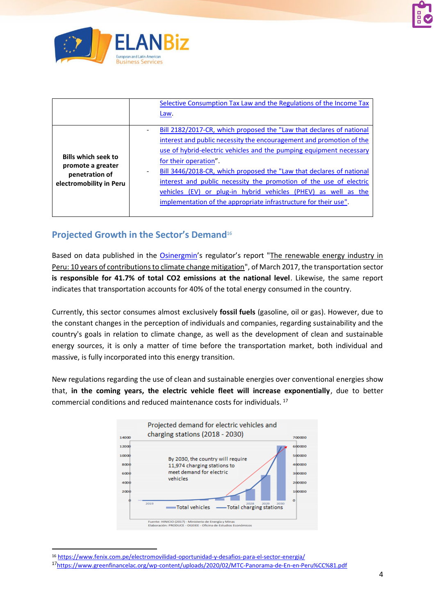



|                                                                                              | Selective Consumption Tax Law and the Regulations of the Income Tax<br>Law.                                                                                                                                                                                                                                                                                                                                                                                                                                                                                  |
|----------------------------------------------------------------------------------------------|--------------------------------------------------------------------------------------------------------------------------------------------------------------------------------------------------------------------------------------------------------------------------------------------------------------------------------------------------------------------------------------------------------------------------------------------------------------------------------------------------------------------------------------------------------------|
| <b>Bills which seek to</b><br>promote a greater<br>penetration of<br>electromobility in Peru | Bill 2182/2017-CR, which proposed the "Law that declares of national<br>interest and public necessity the encouragement and promotion of the<br>use of hybrid-electric vehicles and the pumping equipment necessary<br>for their operation".<br>Bill 3446/2018-CR, which proposed the "Law that declares of national<br>$\overline{\phantom{0}}$<br>interest and public necessity the promotion of the use of electric<br>vehicles (EV) or plug-in hybrid vehicles (PHEV) as well as the<br>implementation of the appropriate infrastructure for their use". |

### **Projected Growth in the Sector's Demand**<sup>16</sup>

Based on data published in the [Osinergmin](https://www.osinergmin.gob.pe/SitePages/default.aspx)'s regulator's report "The renewable energy industry in Peru: 10 years of contributions to climate change mitigation", of March 2017, the transportation sector **is responsible for 41.7% of total CO2 emissions at the national level**. Likewise, the same report indicates that transportation accounts for 40% of the total energy consumed in the country.

Currently, this sector consumes almost exclusively **fossil fuels** (gasoline, oil or gas). However, due to the constant changes in the perception of individuals and companies, regarding sustainability and the country's goals in relation to climate change, as well as the development of clean and sustainable energy sources, it is only a matter of time before the transportation market, both individual and massive, is fully incorporated into this energy transition.

New regulations regarding the use of clean and sustainable energies over conventional energies show that, **in the coming years, the electric vehicle fleet will increase exponentially**, due to better commercial conditions and reduced maintenance costs for individuals. <sup>17</sup>



<sup>16</sup> <https://www.fenix.com.pe/electromovilidad-oportunidad-y-desafios-para-el-sector-energia/>

<sup>17</sup><https://www.greenfinancelac.org/wp-content/uploads/2020/02/MTC-Panorama-de-En-en-Peru%CC%81.pdf>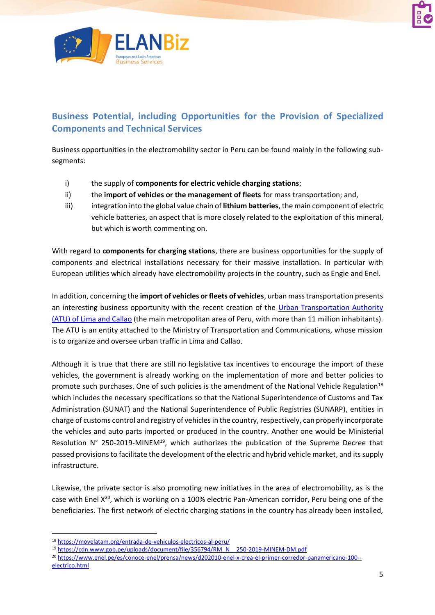



## **Business Potential, including Opportunities for the Provision of Specialized Components and Technical Services**

Business opportunities in the electromobility sector in Peru can be found mainly in the following subsegments:

- i) the supply of **components for electric vehicle charging stations**;
- ii) the **import of vehicles or the management of fleets** for mass transportation; and,
- iii) integration into the global value chain of **lithium batteries**, the main component of electric vehicle batteries, an aspect that is more closely related to the exploitation of this mineral, but which is worth commenting on.

With regard to **components for charging stations**, there are business opportunities for the supply of components and electrical installations necessary for their massive installation. In particular with European utilities which already have electromobility projects in the country, such as Engie and Enel.

In addition, concerning the **import of vehicles or fleets of vehicles**, urban mass transportation presents an interesting business opportunity with the recent creation of the Urban Transportation Authority [\(ATU\) of Lima and Callao](https://www.atu.gob.pe/) (the main metropolitan area of Peru, with more than 11 million inhabitants). The ATU is an entity attached to the Ministry of Transportation and Communications, whose mission is to organize and oversee urban traffic in Lima and Callao.

Although it is true that there are still no legislative tax incentives to encourage the import of these vehicles, the government is already working on the implementation of more and better policies to promote such purchases. One of such policies is the amendment of the National Vehicle Regulation<sup>18</sup> which includes the necessary specifications so that the National Superintendence of Customs and Tax Administration (SUNAT) and the National Superintendence of Public Registries (SUNARP), entities in charge of customs control and registry of vehiclesin the country, respectively, can properly incorporate the vehicles and auto parts imported or produced in the country. Another one would be Ministerial Resolution N° 250-2019-MINEM<sup>19</sup>, which authorizes the publication of the Supreme Decree that passed provisions to facilitate the development of the electric and hybrid vehicle market, and its supply infrastructure.

Likewise, the private sector is also promoting new initiatives in the area of electromobility, as is the case with Enel X<sup>20</sup>, which is working on a 100% electric Pan-American corridor, Peru being one of the beneficiaries. The first network of electric charging stations in the country has already been installed,

<sup>18</sup> <https://movelatam.org/entrada-de-vehiculos-electricos-al-peru/>

<sup>19</sup> [https://cdn.www.gob.pe/uploads/document/file/356794/RM\\_N\\_\\_250-2019-MINEM-DM.pdf](https://cdn.www.gob.pe/uploads/document/file/356794/RM_N__250-2019-MINEM-DM.pdf)

<sup>20</sup> [https://www.enel.pe/es/conoce-enel/prensa/news/d202010-enel-x-crea-el-primer-corredor-panamericano-100-](https://www.enel.pe/es/conoce-enel/prensa/news/d202010-enel-x-crea-el-primer-corredor-panamericano-100--electrico.html) [electrico.html](https://www.enel.pe/es/conoce-enel/prensa/news/d202010-enel-x-crea-el-primer-corredor-panamericano-100--electrico.html)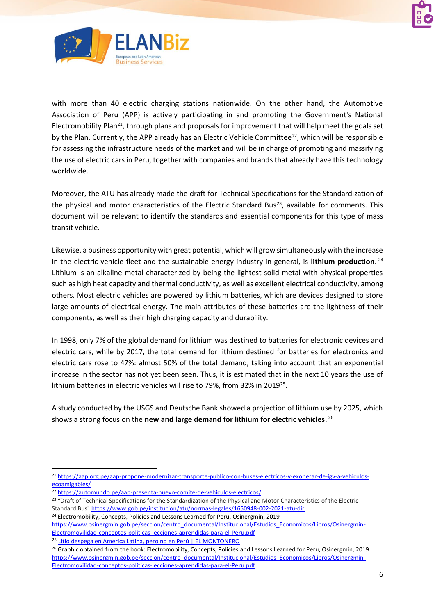



with more than 40 electric charging stations nationwide. On the other hand, the Automotive Association of Peru (APP) is actively participating in and promoting the Government's National Electromobility Plan<sup>21</sup>, through plans and proposals for improvement that will help meet the goals set by the Plan. Currently, the APP already has an Electric Vehicle Committee<sup>22</sup>, which will be responsible for assessing the infrastructure needs of the market and will be in charge of promoting and massifying the use of electric cars in Peru, together with companies and brands that already have this technology worldwide.

Moreover, the ATU has already made the draft for Technical Specifications for the Standardization of the physical and motor characteristics of the Electric Standard Bus<sup>23</sup>, available for comments. This document will be relevant to identify the standards and essential components for this type of mass transit vehicle.

Likewise, a business opportunity with great potential, which will grow simultaneously with the increase in the electric vehicle fleet and the sustainable energy industry in general, is **lithium production**. 24 Lithium is an alkaline metal characterized by being the lightest solid metal with physical properties such as high heat capacity and thermal conductivity, as well as excellent electrical conductivity, among others. Most electric vehicles are powered by lithium batteries, which are devices designed to store large amounts of electrical energy. The main attributes of these batteries are the lightness of their components, as well as their high charging capacity and durability.

In 1998, only 7% of the global demand for lithium was destined to batteries for electronic devices and electric cars, while by 2017, the total demand for lithium destined for batteries for electronics and electric cars rose to 47%: almost 50% of the total demand, taking into account that an exponential increase in the sector has not yet been seen. Thus, it is estimated that in the next 10 years the use of lithium batteries in electric vehicles will rise to 79%, from 32% in 2019<sup>25</sup>.

A study conducted by the USGS and Deutsche Bank showed a projection of lithium use by 2025, which shows a strong focus on the **new and large demand for lithium for electric vehicles**. 26

<sup>24</sup> Electromobility, Concepts, Policies and Lessons Learned for Peru, Osinergmin, 2019

<sup>21</sup> [https://aap.org.pe/aap-propone-modernizar-transporte-publico-con-buses-electricos-y-exonerar-de-igv-a-vehiculos](https://aap.org.pe/aap-propone-modernizar-transporte-publico-con-buses-electricos-y-exonerar-de-igv-a-vehiculos-ecoamigables/)[ecoamigables/](https://aap.org.pe/aap-propone-modernizar-transporte-publico-con-buses-electricos-y-exonerar-de-igv-a-vehiculos-ecoamigables/)

<sup>22</sup> <https://automundo.pe/aap-presenta-nuevo-comite-de-vehiculos-electricos/>

<sup>&</sup>lt;sup>23</sup> "Draft of Technical Specifications for the Standardization of the Physical and Motor Characteristics of the Electric Standard Bus[" https://www.gob.pe/institucion/atu/normas-legales/1650948-002-2021-atu-dir](https://www.gob.pe/institucion/atu/normas-legales/1650948-002-2021-atu-dir) 

[https://www.osinergmin.gob.pe/seccion/centro\\_documental/Institucional/Estudios\\_Economicos/Libros/Osinergmin-](https://www.osinergmin.gob.pe/seccion/centro_documental/Institucional/Estudios_Economicos/Libros/Osinergmin-Electromovilidad-conceptos-politicas-lecciones-aprendidas-para-el-Peru.pdf)[Electromovilidad-conceptos-politicas-lecciones-aprendidas-para-el-Peru.pdf](https://www.osinergmin.gob.pe/seccion/centro_documental/Institucional/Estudios_Economicos/Libros/Osinergmin-Electromovilidad-conceptos-politicas-lecciones-aprendidas-para-el-Peru.pdf)

<sup>&</sup>lt;sup>25</sup> [Litio despega en América Latina, pero no en Perú | EL MONTONERO](https://elmontonero.pe/economia/litio-despega-en-america-latina-pero-no-en-peru)

<sup>&</sup>lt;sup>26</sup> Graphic obtained from the book: Electromobility, Concepts, Policies and Lessons Learned for Peru, Osinergmin, 2019 [https://www.osinergmin.gob.pe/seccion/centro\\_documental/Institucional/Estudios\\_Economicos/Libros/Osinergmin-](https://www.osinergmin.gob.pe/seccion/centro_documental/Institucional/Estudios_Economicos/Libros/Osinergmin-Electromovilidad-conceptos-politicas-lecciones-aprendidas-para-el-Peru.pdf)[Electromovilidad-conceptos-politicas-lecciones-aprendidas-para-el-Peru.pdf](https://www.osinergmin.gob.pe/seccion/centro_documental/Institucional/Estudios_Economicos/Libros/Osinergmin-Electromovilidad-conceptos-politicas-lecciones-aprendidas-para-el-Peru.pdf)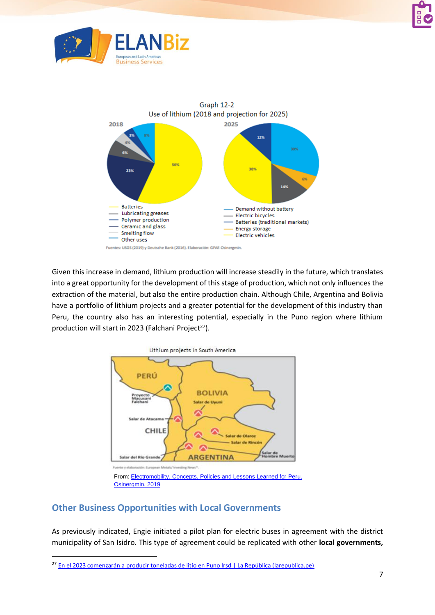





Given this increase in demand, lithium production will increase steadily in the future, which translates into a great opportunity for the development of this stage of production, which not only influences the extraction of the material, but also the entire production chain. Although Chile, Argentina and Bolivia have a portfolio of lithium projects and a greater potential for the development of this industry than Peru, the country also has an interesting potential, especially in the Puno region where lithium production will start in 2023 (Falchani Project $27$ ).



### **Other Business Opportunities with Local Governments**

As previously indicated, Engie initiated a pilot plan for electric buses in agreement with the district municipality of San Isidro. This type of agreement could be replicated with other **local governments,** 

<sup>&</sup>lt;sup>27</sup> En el 2023 comenzarán a producir toneladas de litio en Puno Irsd | La República (larepublica.pe)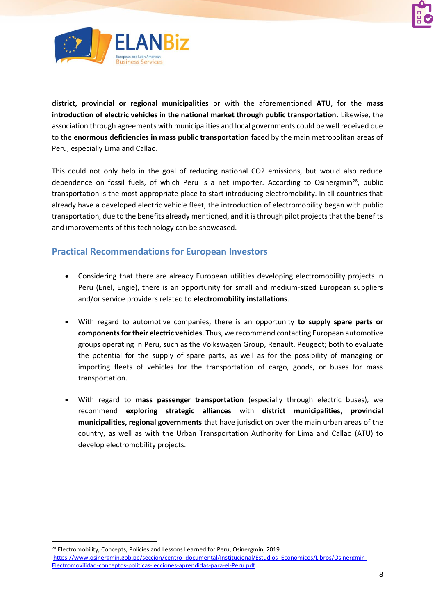



**district, provincial or regional municipalities** or with the aforementioned **ATU**, for the **mass introduction of electric vehicles in the national market through public transportation**. Likewise, the association through agreements with municipalities and local governments could be well received due to the **enormous deficiencies in mass public transportation** faced by the main metropolitan areas of Peru, especially Lima and Callao.

This could not only help in the goal of reducing national CO2 emissions, but would also reduce dependence on fossil fuels, of which Peru is a net importer. According to Osinergmin<sup>28</sup>, public transportation is the most appropriate place to start introducing electromobility. In all countries that already have a developed electric vehicle fleet, the introduction of electromobility began with public transportation, due to the benefits already mentioned, and it is through pilot projects that the benefits and improvements of this technology can be showcased.

### **Practical Recommendations for European Investors**

- Considering that there are already European utilities developing electromobility projects in Peru (Enel, Engie), there is an opportunity for small and medium-sized European suppliers and/or service providers related to **electromobility installations**.
- With regard to automotive companies, there is an opportunity **to supply spare parts or components for their electric vehicles**. Thus, we recommend contacting European automotive groups operating in Peru, such as the Volkswagen Group, Renault, Peugeot; both to evaluate the potential for the supply of spare parts, as well as for the possibility of managing or importing fleets of vehicles for the transportation of cargo, goods, or buses for mass transportation.
- With regard to **mass passenger transportation** (especially through electric buses), we recommend **exploring strategic alliances** with **district municipalities**, **provincial municipalities, regional governments** that have jurisdiction over the main urban areas of the country, as well as with the Urban Transportation Authority for Lima and Callao (ATU) to develop electromobility projects.

<sup>28</sup> Electromobility, Concepts, Policies and Lessons Learned for Peru, Osinergmin, 2019 [https://www.osinergmin.gob.pe/seccion/centro\\_documental/Institucional/Estudios\\_Economicos/Libros/Osinergmin-](https://www.osinergmin.gob.pe/seccion/centro_documental/Institucional/Estudios_Economicos/Libros/Osinergmin-Electromovilidad-conceptos-politicas-lecciones-aprendidas-para-el-Peru.pdf)[Electromovilidad-conceptos-politicas-lecciones-aprendidas-para-el-Peru.pdf](https://www.osinergmin.gob.pe/seccion/centro_documental/Institucional/Estudios_Economicos/Libros/Osinergmin-Electromovilidad-conceptos-politicas-lecciones-aprendidas-para-el-Peru.pdf)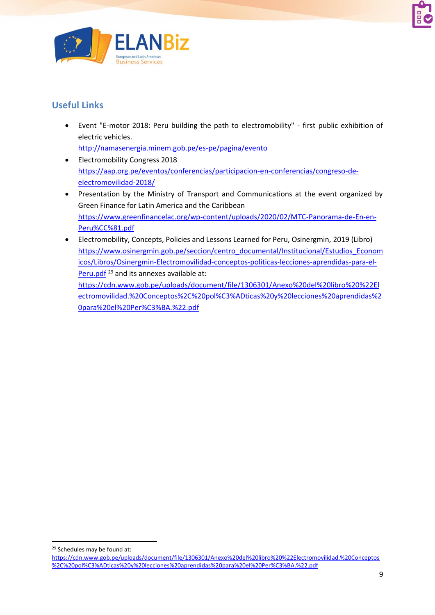



# **Useful Links**

- Event "E-motor 2018: Peru building the path to electromobility" first public exhibition of electric vehicles. <http://namasenergia.minem.gob.pe/es-pe/pagina/evento>
- Electromobility Congress 2018 [https://aap.org.pe/eventos/conferencias/participacion-en-conferencias/congreso-de](https://aap.org.pe/eventos/conferencias/participacion-en-conferencias/congreso-de-electromovilidad-2018/)[electromovilidad-2018/](https://aap.org.pe/eventos/conferencias/participacion-en-conferencias/congreso-de-electromovilidad-2018/)
- Presentation by the Ministry of Transport and Communications at the event organized by Green Finance for Latin America and the Caribbean [https://www.greenfinancelac.org/wp-content/uploads/2020/02/MTC-Panorama-de-En-en-](https://www.greenfinancelac.org/wp-content/uploads/2020/02/MTC-Panorama-de-En-en-Peru%CC%81.pdf)[Peru%CC%81.pdf](https://www.greenfinancelac.org/wp-content/uploads/2020/02/MTC-Panorama-de-En-en-Peru%CC%81.pdf)
- Electromobility, Concepts, Policies and Lessons Learned for Peru, Osinergmin, 2019 (Libro) [https://www.osinergmin.gob.pe/seccion/centro\\_documental/Institucional/Estudios\\_Econom](https://www.osinergmin.gob.pe/seccion/centro_documental/Institucional/Estudios_Economicos/Libros/Osinergmin-Electromovilidad-conceptos-politicas-lecciones-aprendidas-para-el-Peru.pdf) [icos/Libros/Osinergmin-Electromovilidad-conceptos-politicas-lecciones-aprendidas-para-el-](https://www.osinergmin.gob.pe/seccion/centro_documental/Institucional/Estudios_Economicos/Libros/Osinergmin-Electromovilidad-conceptos-politicas-lecciones-aprendidas-para-el-Peru.pdf)[Peru.pdf](https://www.osinergmin.gob.pe/seccion/centro_documental/Institucional/Estudios_Economicos/Libros/Osinergmin-Electromovilidad-conceptos-politicas-lecciones-aprendidas-para-el-Peru.pdf)<sup>29</sup> and its annexes available at:

[https://cdn.www.gob.pe/uploads/document/file/1306301/Anexo%20del%20libro%20%22El](https://cdn.www.gob.pe/uploads/document/file/1306301/Anexo%20del%20libro%20%22Electromovilidad.%20Conceptos%2C%20pol%C3%ADticas%20y%20lecciones%20aprendidas%20para%20el%20Per%C3%BA.%22.pdf) [ectromovilidad.%20Conceptos%2C%20pol%C3%ADticas%20y%20lecciones%20aprendidas%2](https://cdn.www.gob.pe/uploads/document/file/1306301/Anexo%20del%20libro%20%22Electromovilidad.%20Conceptos%2C%20pol%C3%ADticas%20y%20lecciones%20aprendidas%20para%20el%20Per%C3%BA.%22.pdf) [0para%20el%20Per%C3%BA.%22.pdf](https://cdn.www.gob.pe/uploads/document/file/1306301/Anexo%20del%20libro%20%22Electromovilidad.%20Conceptos%2C%20pol%C3%ADticas%20y%20lecciones%20aprendidas%20para%20el%20Per%C3%BA.%22.pdf)

<sup>29</sup> Schedules may be found at:

[https://cdn.www.gob.pe/uploads/document/file/1306301/Anexo%20del%20libro%20%22Electromovilidad.%20Conceptos](https://cdn.www.gob.pe/uploads/document/file/1306301/Anexo%20del%20libro%20%22Electromovilidad.%20Conceptos%2C%20pol%C3%ADticas%20y%20lecciones%20aprendidas%20para%20el%20Per%C3%BA.%22.pdf) [%2C%20pol%C3%ADticas%20y%20lecciones%20aprendidas%20para%20el%20Per%C3%BA.%22.pdf](https://cdn.www.gob.pe/uploads/document/file/1306301/Anexo%20del%20libro%20%22Electromovilidad.%20Conceptos%2C%20pol%C3%ADticas%20y%20lecciones%20aprendidas%20para%20el%20Per%C3%BA.%22.pdf)